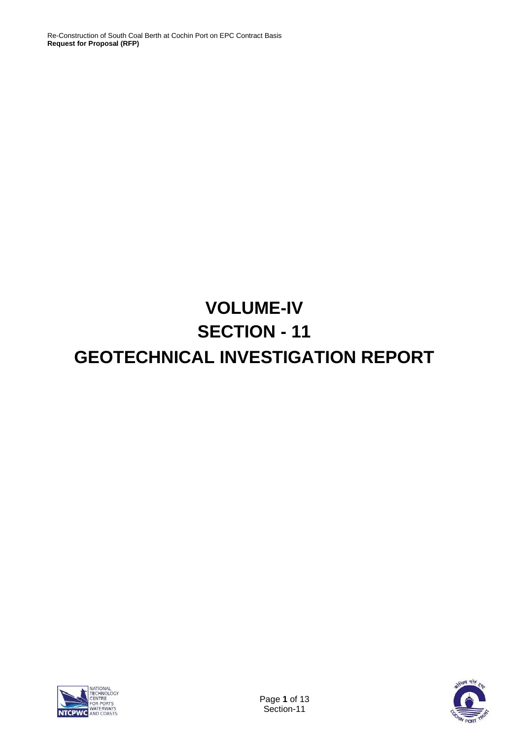# **VOLUME-IV SECTION - 11 GEOTECHNICAL INVESTIGATION REPORT**



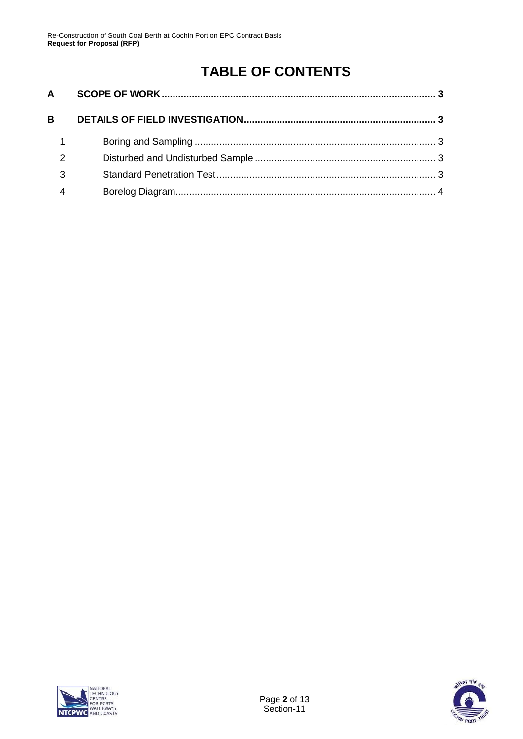## **TABLE OF CONTENTS**

| $\mathsf{A}$ |  |
|--------------|--|
| B            |  |
|              |  |
| 2            |  |
| 3            |  |
|              |  |
|              |  |



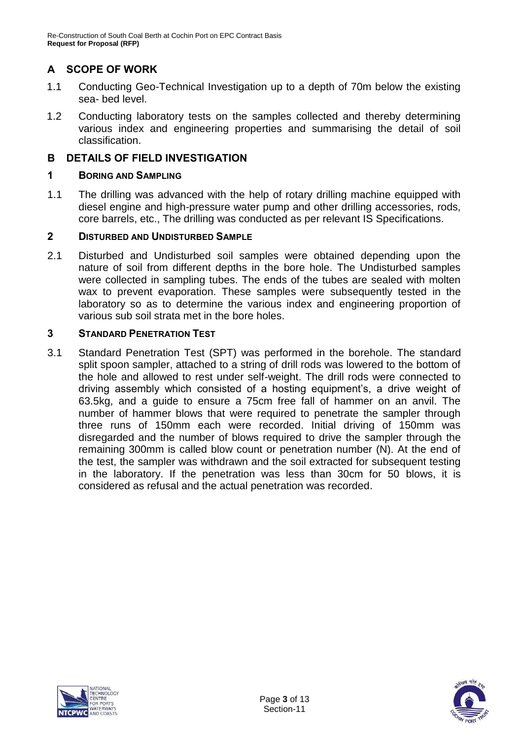### <span id="page-2-0"></span>**A SCOPE OF WORK**

- 1.1 Conducting Geo-Technical Investigation up to a depth of 70m below the existing sea- bed level.
- 1.2 Conducting laboratory tests on the samples collected and thereby determining various index and engineering properties and summarising the detail of soil classification.

#### <span id="page-2-1"></span>**B DETAILS OF FIELD INVESTIGATION**

#### <span id="page-2-2"></span>**1 BORING AND SAMPLING**

1.1 The drilling was advanced with the help of rotary drilling machine equipped with diesel engine and high-pressure water pump and other drilling accessories, rods, core barrels, etc., The drilling was conducted as per relevant IS Specifications.

#### <span id="page-2-3"></span>**2 DISTURBED AND UNDISTURBED SAMPLE**

2.1 Disturbed and Undisturbed soil samples were obtained depending upon the nature of soil from different depths in the bore hole. The Undisturbed samples were collected in sampling tubes. The ends of the tubes are sealed with molten wax to prevent evaporation. These samples were subsequently tested in the laboratory so as to determine the various index and engineering proportion of various sub soil strata met in the bore holes.

#### <span id="page-2-4"></span>**3 STANDARD PENETRATION TEST**

3.1 Standard Penetration Test (SPT) was performed in the borehole. The standard split spoon sampler, attached to a string of drill rods was lowered to the bottom of the hole and allowed to rest under self-weight. The drill rods were connected to driving assembly which consisted of a hosting equipment's, a drive weight of 63.5kg, and a guide to ensure a 75cm free fall of hammer on an anvil. The number of hammer blows that were required to penetrate the sampler through three runs of 150mm each were recorded. Initial driving of 150mm was disregarded and the number of blows required to drive the sampler through the remaining 300mm is called blow count or penetration number (N). At the end of the test, the sampler was withdrawn and the soil extracted for subsequent testing in the laboratory. If the penetration was less than 30cm for 50 blows, it is considered as refusal and the actual penetration was recorded.



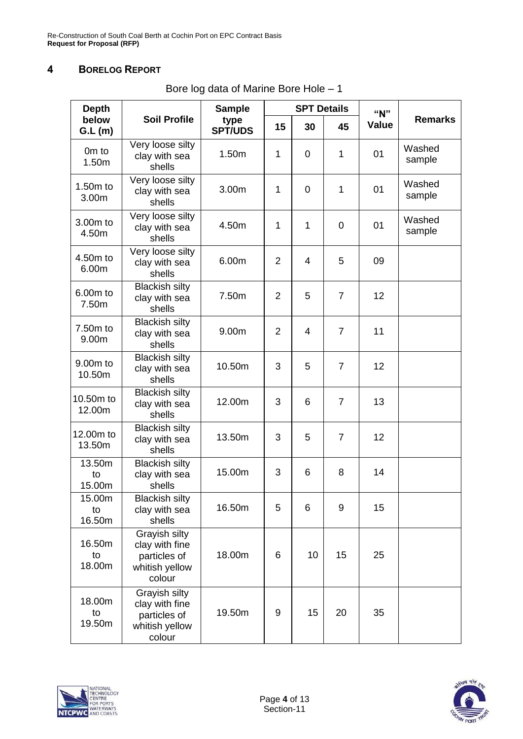#### <span id="page-3-0"></span>**4 BORELOG REPORT**

| <b>Depth</b>           |                                                                             | <b>Sample</b>          |                | <b>SPT Details</b> |                | "N"          | <b>Remarks</b>   |
|------------------------|-----------------------------------------------------------------------------|------------------------|----------------|--------------------|----------------|--------------|------------------|
| below<br>GL(m)         | <b>Soil Profile</b>                                                         | type<br><b>SPT/UDS</b> | 15             | 30                 | 45             | <b>Value</b> |                  |
| Om to<br>1.50m         | Very loose silty<br>clay with sea<br>shells                                 | 1.50m                  | $\mathbf{1}$   | 0                  | $\mathbf{1}$   | 01           | Washed<br>sample |
| 1.50m to<br>3.00m      | Very loose silty<br>clay with sea<br>shells                                 | 3.00m                  | $\mathbf{1}$   | 0                  | 1              | 01           | Washed<br>sample |
| 3.00m to<br>4.50m      | Very loose silty<br>clay with sea<br>shells                                 | 4.50m                  | 1              | 1                  | $\overline{0}$ | 01           | Washed<br>sample |
| 4.50m to<br>6.00m      | Very loose silty<br>clay with sea<br>shells                                 | 6.00m                  | $\overline{2}$ | 4                  | 5              | 09           |                  |
| 6.00m to<br>7.50m      | <b>Blackish silty</b><br>clay with sea<br>shells                            | 7.50m                  | $\overline{2}$ | 5                  | $\overline{7}$ | 12           |                  |
| 7.50m to<br>9.00m      | <b>Blackish silty</b><br>clay with sea<br>shells                            | 9.00m                  | 2              | 4                  | $\overline{7}$ | 11           |                  |
| 9.00m to<br>10.50m     | <b>Blackish silty</b><br>clay with sea<br>shells                            | 10.50m                 | 3              | 5                  | $\overline{7}$ | 12           |                  |
| 10.50m to<br>12.00m    | <b>Blackish silty</b><br>clay with sea<br>shells                            | 12.00m                 | 3              | 6                  | $\overline{7}$ | 13           |                  |
| 12,00m to<br>13.50m    | <b>Blackish silty</b><br>clay with sea<br>shells                            | 13.50m                 | 3              | 5                  | $\overline{7}$ | 12           |                  |
| 13.50m<br>to<br>15.00m | <b>Blackish silty</b><br>clay with sea<br>shells                            | 15.00m                 | 3              | 6                  | 8              | 14           |                  |
| 15.00m<br>to<br>16.50m | <b>Blackish silty</b><br>clay with sea<br>shells                            | 16.50m                 | 5              | 6                  | 9              | 15           |                  |
| 16.50m<br>to<br>18.00m | Grayish silty<br>clay with fine<br>particles of<br>whitish yellow<br>colour | 18.00m                 | 6              | 10                 | 15             | 25           |                  |
| 18.00m<br>to<br>19.50m | Grayish silty<br>clay with fine<br>particles of<br>whitish yellow<br>colour | 19.50m                 | 9              | 15                 | 20             | 35           |                  |

Bore log data of Marine Bore Hole – 1

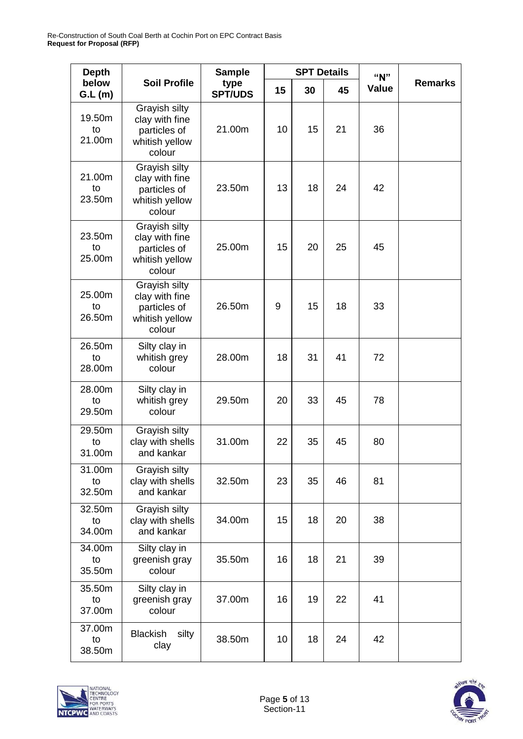| <b>Depth</b>           |                                                                             | <b>Sample</b>          |    | <b>SPT Details</b> |    | "N"   |                |
|------------------------|-----------------------------------------------------------------------------|------------------------|----|--------------------|----|-------|----------------|
| below<br>GL(m)         | <b>Soil Profile</b>                                                         | type<br><b>SPT/UDS</b> | 15 | 30                 | 45 | Value | <b>Remarks</b> |
| 19.50m<br>to<br>21.00m | Grayish silty<br>clay with fine<br>particles of<br>whitish yellow<br>colour | 21.00m                 | 10 | 15                 | 21 | 36    |                |
| 21.00m<br>to<br>23.50m | Grayish silty<br>clay with fine<br>particles of<br>whitish yellow<br>colour | 23.50m                 | 13 | 18                 | 24 | 42    |                |
| 23.50m<br>to<br>25.00m | Grayish silty<br>clay with fine<br>particles of<br>whitish yellow<br>colour |                        | 15 | 20                 | 25 | 45    |                |
| 25.00m<br>to<br>26.50m | Grayish silty<br>clay with fine<br>particles of<br>whitish yellow<br>colour | 26.50m                 | 9  | 15                 | 18 | 33    |                |
| 26.50m<br>to<br>28.00m | Silty clay in<br>whitish grey<br>colour                                     | 28.00m                 | 18 | 31                 | 41 | 72    |                |
| 28.00m<br>to<br>29.50m | Silty clay in<br>whitish grey<br>colour                                     | 29.50m                 | 20 | 33                 | 45 | 78    |                |
| 29.50m<br>to<br>31.00m | Grayish silty<br>clay with shells<br>and kankar                             | 31.00m                 | 22 | 35                 | 45 | 80    |                |
| 31.00m<br>to<br>32.50m | Grayish silty<br>clay with shells<br>and kankar                             | 32.50m                 | 23 | 35                 | 46 | 81    |                |
| 32.50m<br>to<br>34.00m | Grayish silty<br>clay with shells<br>and kankar                             | 34.00m                 | 15 | 18                 | 20 | 38    |                |
| 34.00m<br>to<br>35.50m | Silty clay in<br>greenish gray<br>colour                                    | 35.50m                 | 16 | 18                 | 21 | 39    |                |
| 35.50m<br>to<br>37.00m | Silty clay in<br>greenish gray<br>colour                                    | 37.00m                 | 16 | 19                 | 22 | 41    |                |
| 37.00m<br>to<br>38.50m | <b>Blackish</b><br>silty<br>clay                                            | 38.50m                 | 10 | 18                 | 24 | 42    |                |



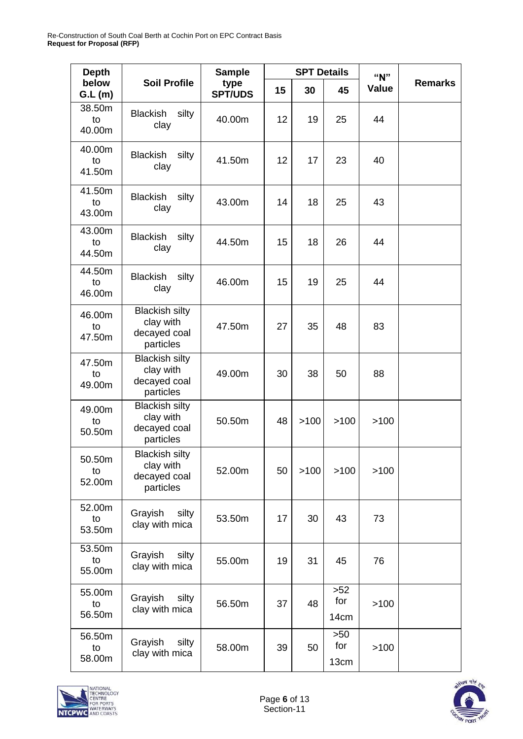| <b>Depth</b>           |                                                                 | <b>Sample</b>          |    | <b>SPT Details</b> |                      | "N"   |                |
|------------------------|-----------------------------------------------------------------|------------------------|----|--------------------|----------------------|-------|----------------|
| below<br>GL(m)         | <b>Soil Profile</b>                                             | type<br><b>SPT/UDS</b> | 15 | 30                 | 45                   | Value | <b>Remarks</b> |
| 38.50m<br>to<br>40.00m | <b>Blackish</b><br>silty<br>clay                                | 40.00m                 | 12 | 19                 | 25                   | 44    |                |
| 40.00m<br>to<br>41.50m | <b>Blackish</b><br>silty<br>clay                                | 41.50m                 | 12 | 17                 | 23                   | 40    |                |
| 41.50m<br>to<br>43.00m | <b>Blackish</b><br>silty<br>clay                                | 43.00m                 | 14 | 18                 | 25                   | 43    |                |
| 43.00m<br>to<br>44.50m | <b>Blackish</b><br>silty<br>clay                                | 44.50m                 | 15 | 18                 | 26                   | 44    |                |
| 44.50m<br>to<br>46.00m | <b>Blackish</b><br>silty<br>clay                                | 46.00m                 | 15 | 19                 | 25                   | 44    |                |
| 46.00m<br>to<br>47.50m | <b>Blackish silty</b><br>clay with<br>decayed coal<br>particles | 47.50m                 | 27 | 35                 | 48                   | 83    |                |
| 47.50m<br>to<br>49.00m | <b>Blackish silty</b><br>clay with<br>decayed coal<br>particles | 49.00m                 | 30 | 38                 | 50                   | 88    |                |
| 49.00m<br>to<br>50.50m | <b>Blackish silty</b><br>clay with<br>decayed coal<br>particles | 50.50m                 | 48 | >100               | >100                 | >100  |                |
| 50.50m<br>to<br>52.00m | <b>Blackish silty</b><br>clay with<br>decayed coal<br>particles | 52.00m                 | 50 | >100               | >100                 | >100  |                |
| 52.00m<br>to<br>53.50m | Grayish<br>silty<br>clay with mica                              | 53.50m                 | 17 | 30                 | 43                   | 73    |                |
| 53.50m<br>to<br>55.00m | Grayish<br>silty<br>clay with mica                              | 55.00m                 | 19 | 31                 | 45                   | 76    |                |
| 55.00m<br>to<br>56.50m | Grayish<br>silty<br>clay with mica                              | 56.50m                 | 37 | 48                 | $>52$<br>for<br>14cm | >100  |                |
| 56.50m<br>to<br>58.00m | Grayish<br>silty<br>clay with mica                              | 58.00m                 | 39 | 50                 | $>50$<br>for<br>13cm | >100  |                |



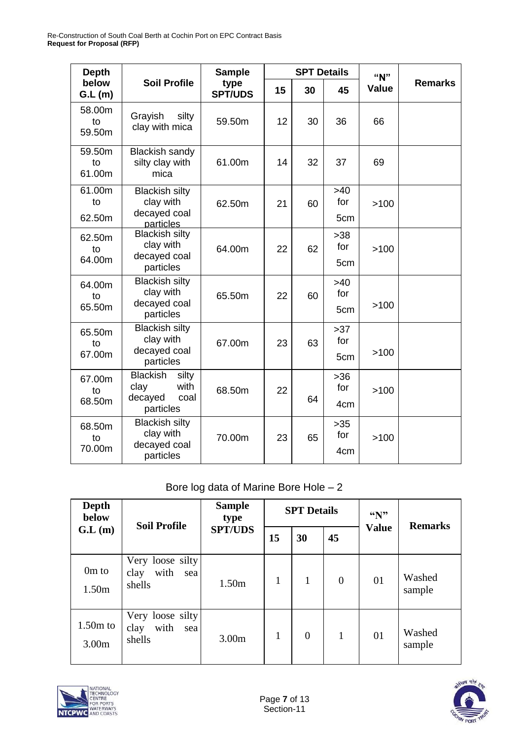| <b>Depth</b>           |                                                                          | <b>Sample</b>          |    | <b>SPT Details</b> |                                 | "N"          |                |
|------------------------|--------------------------------------------------------------------------|------------------------|----|--------------------|---------------------------------|--------------|----------------|
| below<br>GL(m)         | <b>Soil Profile</b>                                                      | type<br><b>SPT/UDS</b> | 15 | 30                 | 45                              | <b>Value</b> | <b>Remarks</b> |
| 58.00m<br>to<br>59.50m | Grayish<br>silty<br>clay with mica                                       | 59.50m                 | 12 | 30                 | 36                              | 66           |                |
| 59.50m<br>to<br>61.00m | <b>Blackish sandy</b><br>silty clay with<br>mica                         | 61.00m                 | 14 | 32                 | 37                              | 69           |                |
| 61.00m<br>to<br>62.50m | <b>Blackish silty</b><br>clay with<br>decayed coal<br>particles          | 62.50m                 | 21 | 60                 | $>40$<br>for<br>5cm             | >100         |                |
| 62.50m<br>to<br>64.00m | <b>Blackish silty</b><br>clay with<br>decayed coal<br>particles          | 64.00m                 | 22 | 62                 | $>38$<br>for<br>5cm             | >100         |                |
| 64.00m<br>to<br>65.50m | <b>Blackish silty</b><br>clay with<br>decayed coal<br>particles          | 65.50m                 | 22 | 60                 | $>40$<br>for<br>5cm             | >100         |                |
| 65.50m<br>to<br>67.00m | <b>Blackish silty</b><br>clay with<br>decayed coal<br>particles          | 67.00m                 | 23 | 63                 | $>37$<br>for<br>5cm             | >100         |                |
| 67.00m<br>to<br>68.50m | <b>Blackish</b><br>silty<br>with<br>clay<br>decayed<br>coal<br>particles | 68.50m                 | 22 | 64                 | $>36$<br>for<br>4 <sub>cm</sub> | >100         |                |
| 68.50m<br>to<br>70.00m | <b>Blackish silty</b><br>clay with<br>decayed coal<br>particles          | 70.00m                 | 23 | 65                 | >35<br>for<br>4 <sub>cm</sub>   | >100         |                |

### Bore log data of Marine Bore Hole – 2

| Depth<br>below             | <b>Soil Profile</b>                               | <b>Sample</b><br>type<br><b>SPT/UDS</b> |    | <b>SPT Details</b> |              | $\mathbf{``N''}$ | <b>Remarks</b>   |
|----------------------------|---------------------------------------------------|-----------------------------------------|----|--------------------|--------------|------------------|------------------|
| GL(m)                      |                                                   |                                         | 15 | 30                 | 45           | <b>Value</b>     |                  |
| 0 <sub>m</sub> to<br>1.50m | Very loose silty<br>with<br>clay<br>sea<br>shells | 1.50m                                   | 1  | 1                  | $\theta$     | 01               | Washed<br>sample |
| $1.50m$ to<br>3.00m        | Very loose silty<br>with<br>clay<br>sea<br>shells | 3.00 <sub>m</sub>                       | 1  | $\overline{0}$     | $\mathbf{1}$ | 01               | Washed<br>sample |



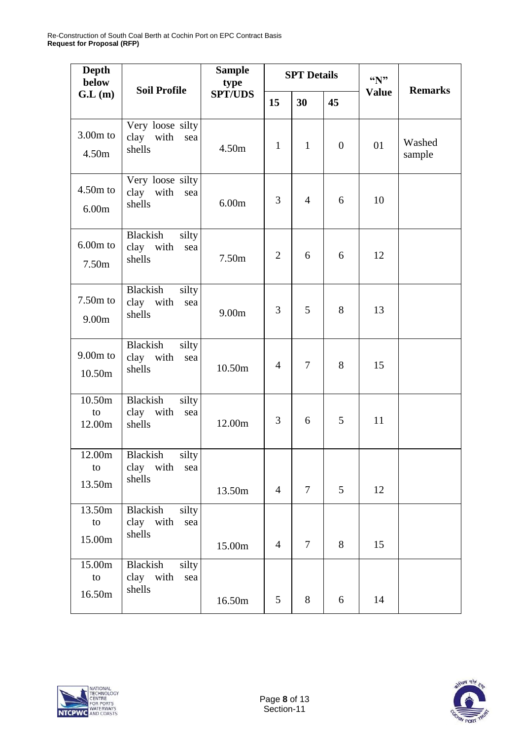| <b>Depth</b><br>below           | <b>Soil Profile</b>                                                 | <b>Sample</b><br>type | <b>SPT</b> Details |                |                  | $\mathbf{``N''}$ | <b>Remarks</b>   |
|---------------------------------|---------------------------------------------------------------------|-----------------------|--------------------|----------------|------------------|------------------|------------------|
| G.L(m)                          |                                                                     | <b>SPT/UDS</b>        | 15                 | 30             | 45               | <b>Value</b>     |                  |
| $3.00m$ to<br>4.50m             | Very loose silty<br>clay with<br>sea<br>shells                      | 4.50m                 | $\mathbf{1}$       | $\mathbf{1}$   | $\boldsymbol{0}$ | 01               | Washed<br>sample |
| $4.50m$ to<br>6.00m             | Very loose silty<br>clay with<br>sea<br>shells                      | 6.00m                 | 3                  | $\overline{4}$ | 6                | 10               |                  |
| $6.00m$ to<br>7.50m             | Blackish<br>silty<br>clay with<br>sea<br>shells                     | 7.50m                 | $\overline{2}$     | 6              | 6                | 12               |                  |
| $7.50m$ to<br>9.00 <sub>m</sub> | Blackish<br>silty<br>clay with<br>sea<br>shells                     | 9.00 <sub>m</sub>     | 3                  | 5              | 8                | 13               |                  |
| $9.00m$ to<br>10.50m            | Blackish<br>silty<br>clay with<br>sea<br>shells                     | 10.50m                | $\overline{4}$     | $\overline{7}$ | 8                | 15               |                  |
| 10.50m<br>to<br>12.00m          | <b>Blackish</b><br>silty<br>clay with<br>sea<br>shells              | 12.00m                | 3                  | 6              | 5                | 11               |                  |
| to<br>13.50m                    | $\overline{12.0}$ 0m   Blackish silty<br>clay with<br>sea<br>shells | 13.50m                | $\overline{4}$     | $\tau$         | 5                | 12               |                  |
| 13.50m<br>to<br>15.00m          | silty<br>Blackish<br>clay with<br>sea<br>shells                     | 15.00m                | $\overline{4}$     | $\tau$         | $8\,$            | 15               |                  |
| 15.00m<br>to<br>16.50m          | <b>Blackish</b><br>silty<br>clay with<br>sea<br>shells              | 16.50m                | 5                  | $8\,$          | 6                | 14               |                  |



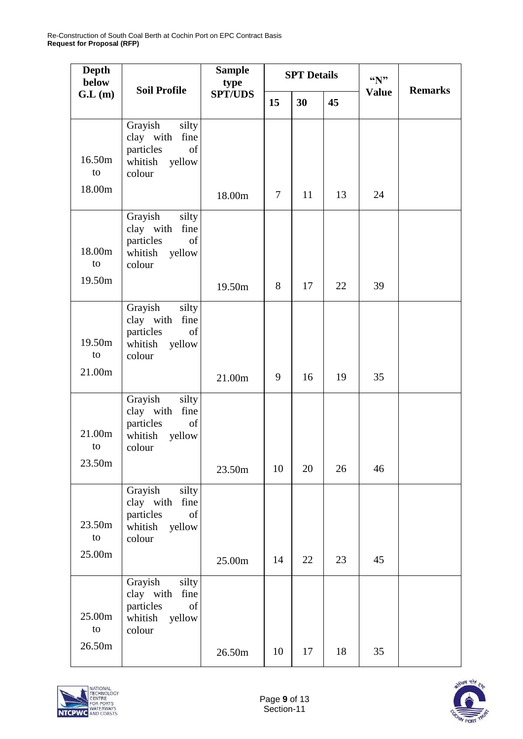| <b>Depth</b><br>below | <b>Soil Profile</b>                                                                     | <b>Sample</b><br>type | <b>SPT Details</b> |    |    | $\mathbf{``N''}$ | <b>Remarks</b> |
|-----------------------|-----------------------------------------------------------------------------------------|-----------------------|--------------------|----|----|------------------|----------------|
| G.L(m)                |                                                                                         | <b>SPT/UDS</b>        | 15                 | 30 | 45 | <b>Value</b>     |                |
| 16.50m<br>to          | Grayish<br>silty<br>clay with<br>fine<br>particles<br>of<br>whitish yellow<br>colour    |                       |                    |    |    |                  |                |
| 18.00m                |                                                                                         | 18.00m                | $\tau$             | 11 | 13 | 24               |                |
| 18.00m<br>to          | Grayish<br>silty<br>clay with<br>fine<br>particles<br>of<br>whitish<br>yellow<br>colour |                       |                    |    |    |                  |                |
| 19.50m                |                                                                                         | 19.50m                | 8                  | 17 | 22 | 39               |                |
| 19.50m<br>to          | Grayish<br>silty<br>clay with fine<br>particles<br>of<br>whitish<br>yellow<br>colour    |                       |                    |    |    |                  |                |
| 21.00m                |                                                                                         | 21.00m                | 9                  | 16 | 19 | 35               |                |
| 21.00m<br>to          | Grayish<br>silty<br>clay with<br>fine<br>particles<br>of<br>whitish<br>yellow<br>colour |                       |                    |    |    |                  |                |
| 23.50m                |                                                                                         | 23.50m                | 10                 | 20 | 26 | 46               |                |
| 23.50m<br>to          | Grayish<br>silty<br>clay with<br>fine<br>particles<br>of<br>yellow<br>whitish<br>colour |                       |                    |    |    |                  |                |
| 25.00m                |                                                                                         | 25.00m                | 14                 | 22 | 23 | 45               |                |
| 25.00m<br>to          | Grayish<br>silty<br>clay with fine<br>particles<br>of<br>whitish<br>yellow<br>colour    |                       |                    |    |    |                  |                |
| 26.50m                |                                                                                         | 26.50m                | 10                 | 17 | 18 | 35               |                |



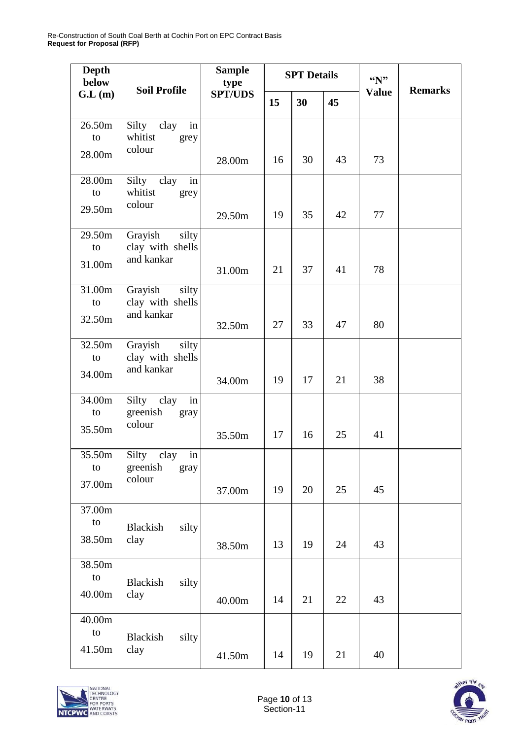| <b>Depth</b><br>below  | <b>Soil Profile</b>                                |                | <b>SPT Details</b> |    |    | $\mathbf{``N''}$ | <b>Remarks</b> |
|------------------------|----------------------------------------------------|----------------|--------------------|----|----|------------------|----------------|
| GL(m)                  |                                                    | <b>SPT/UDS</b> | 15                 | 30 | 45 | <b>Value</b>     |                |
| 26.50m<br>to<br>28.00m | Silty clay<br>in<br>whitist<br>grey<br>colour      | 28.00m         | 16                 | 30 | 43 | 73               |                |
| 28.00m<br>to<br>29.50m | Silty clay<br>in<br>whitist<br>grey<br>colour      | 29.50m         | 19                 | 35 | 42 | 77               |                |
| 29.50m<br>to<br>31.00m | Grayish<br>silty<br>clay with shells<br>and kankar | 31.00m         | 21                 | 37 | 41 | 78               |                |
| 31.00m<br>to<br>32.50m | Grayish<br>silty<br>clay with shells<br>and kankar | 32.50m         | 27                 | 33 | 47 | 80               |                |
| 32.50m<br>to<br>34.00m | Grayish<br>silty<br>clay with shells<br>and kankar | 34.00m         | 19                 | 17 | 21 | 38               |                |
| 34.00m<br>to<br>35.50m | in<br>Silty clay<br>greenish<br>gray<br>colour     | 35.50m         | 17                 | 16 | 25 | 41               |                |
| 35.50m<br>to<br>37.00m | Silty clay<br>in<br>greenish<br>gray<br>colour     | 37.00m         | 19                 | 20 | 25 | 45               |                |
| 37.00m<br>to<br>38.50m | silty<br>Blackish<br>clay                          | 38.50m         | 13                 | 19 | 24 | 43               |                |
| 38.50m<br>to<br>40.00m | Blackish<br>silty<br>clay                          | 40.00m         | 14                 | 21 | 22 | 43               |                |
| 40.00m<br>to<br>41.50m | silty<br>Blackish<br>clay                          | 41.50m         | 14                 | 19 | 21 | 40               |                |



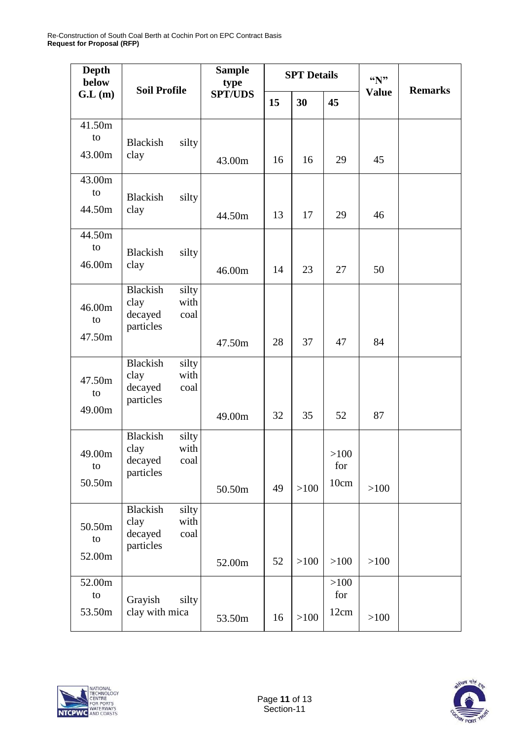Re-Construction of South Coal Berth at Cochin Port on EPC Contract Basis **Request for Proposal (RFP)**

| <b>Depth</b><br>below  | <b>Soil Profile</b>                                                      | <b>Sample</b><br>type |    | <b>SPT Details</b> |                     | $\mathbf{``N''}$ | <b>Remarks</b> |
|------------------------|--------------------------------------------------------------------------|-----------------------|----|--------------------|---------------------|------------------|----------------|
| G.L(m)                 |                                                                          | <b>SPT/UDS</b>        | 15 | 30                 | 45                  | <b>Value</b>     |                |
| 41.50m<br>to<br>43.00m | Blackish<br>silty<br>clay                                                | 43.00m                | 16 | 16                 | 29                  | 45               |                |
| 43.00m<br>to<br>44.50m | Blackish<br>silty<br>clay                                                | 44.50m                | 13 | 17                 | 29                  | 46               |                |
| 44.50m<br>to<br>46.00m | <b>Blackish</b><br>silty<br>clay                                         | 46.00m                | 14 | 23                 | 27                  | 50               |                |
| 46.00m<br>to<br>47.50m | <b>Blackish</b><br>silty<br>with<br>clay<br>decayed<br>coal<br>particles | 47.50m                | 28 | 37                 | 47                  | 84               |                |
| 47.50m<br>to<br>49.00m | <b>Blackish</b><br>silty<br>clay<br>with<br>decayed<br>coal<br>particles | 49.00m                | 32 | 35                 | 52                  | 87               |                |
| 49.00m<br>to<br>50.50m | <b>Blackish</b><br>silty<br>clay<br>with<br>decayed<br>coal<br>particles | 50.50m                | 49 | >100               | >100<br>for<br>10cm | >100             |                |
| 50.50m<br>to<br>52.00m | <b>Blackish</b><br>silty<br>clay<br>with<br>decayed<br>coal<br>particles | 52.00m                | 52 | >100               | >100                | >100             |                |
| 52.00m<br>to<br>53.50m | Grayish<br>silty<br>clay with mica                                       | 53.50m                | 16 | >100               | >100<br>for<br>12cm | >100             |                |



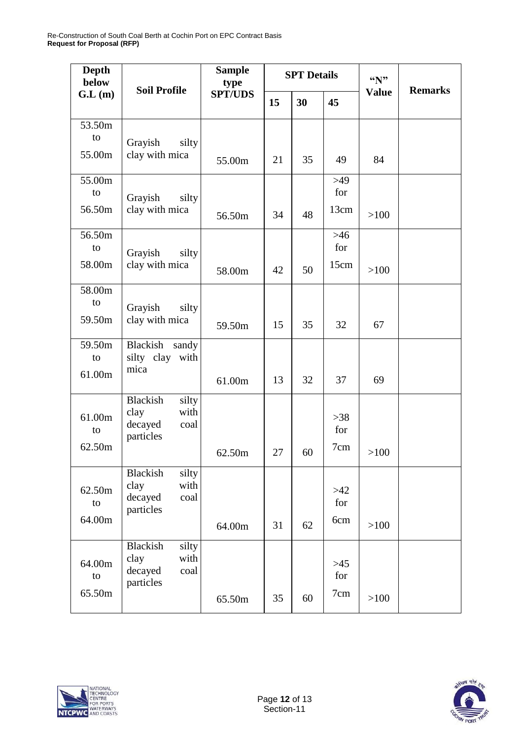Re-Construction of South Coal Berth at Cochin Port on EPC Contract Basis **Request for Proposal (RFP)**

| <b>Depth</b><br>below  | <b>Soil Profile</b>                                                      | <b>Sample</b><br>type |    | <b>SPT</b> Details |                      | $\mathbf{``N''}$ | <b>Remarks</b> |
|------------------------|--------------------------------------------------------------------------|-----------------------|----|--------------------|----------------------|------------------|----------------|
| GL(m)                  |                                                                          | <b>SPT/UDS</b>        | 15 | 30                 | 45                   | <b>Value</b>     |                |
| 53.50m<br>to<br>55.00m | Grayish<br>silty<br>clay with mica                                       | 55.00m                | 21 | 35                 | 49                   | 84               |                |
| 55.00m<br>to<br>56.50m | Grayish<br>silty<br>clay with mica                                       | 56.50m                | 34 | 48                 | $>49$<br>for<br>13cm | >100             |                |
| 56.50m<br>to<br>58.00m | Grayish<br>silty<br>clay with mica                                       | 58.00m                | 42 | 50                 | $>46$<br>for<br>15cm | $>100$           |                |
| 58.00m<br>to<br>59.50m | Grayish<br>silty<br>clay with mica                                       | 59.50m                | 15 | 35                 | 32                   | 67               |                |
| 59.50m<br>to<br>61.00m | Blackish<br>sandy<br>silty clay<br>with<br>mica                          | 61.00m                | 13 | 32                 | 37                   | 69               |                |
| 61.00m<br>to<br>62.50m | <b>Blackish</b><br>silty<br>with<br>clay<br>decayed<br>coal<br>particles | 62.50m                | 27 | 60                 | $>38$<br>for<br>7cm  | >100             |                |
| 62.50m<br>to<br>64.00m | <b>Blackish</b><br>silty<br>with<br>clay<br>decayed<br>coal<br>particles | 64.00m                | 31 | 62                 | $>42$<br>for<br>6cm  | >100             |                |
| 64.00m<br>to<br>65.50m | Blackish<br>silty<br>clay<br>with<br>decayed<br>coal<br>particles        | 65.50m                | 35 | 60                 | $>45$<br>for<br>7cm  | >100             |                |



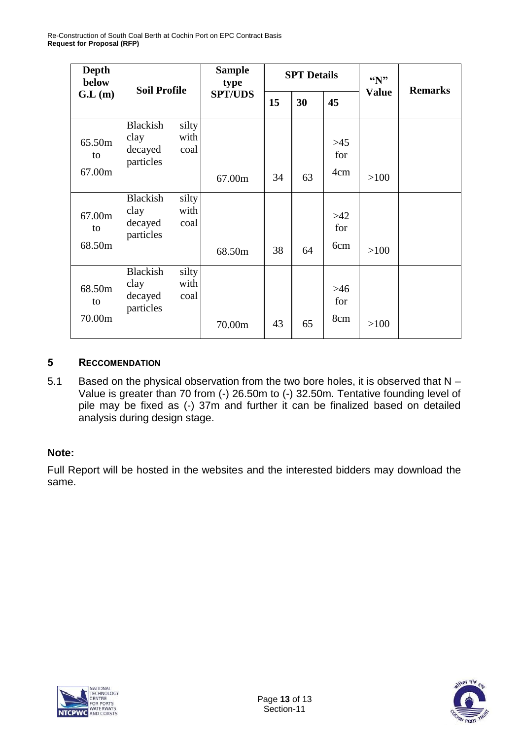| <b>Depth</b><br>below  | <b>Soil Profile</b>                             |                       | <b>Sample</b><br>type<br><b>SPT/UDS</b> |    | <b>SPT Details</b> |                     | $\mathbf{``N''}$ | <b>Remarks</b> |
|------------------------|-------------------------------------------------|-----------------------|-----------------------------------------|----|--------------------|---------------------|------------------|----------------|
| GL(m)                  |                                                 |                       |                                         | 15 | 30                 | 45                  | <b>Value</b>     |                |
| 65.50m<br>to<br>67.00m | Blackish<br>clay<br>decayed<br>particles        | silty<br>with<br>coal | 67.00m                                  | 34 | 63                 | $>45$<br>for<br>4cm | >100             |                |
|                        | <b>Blackish</b>                                 | silty                 |                                         |    |                    |                     |                  |                |
| 67.00m<br>to           | clay<br>decayed<br>particles                    | with<br>coal          |                                         |    |                    | $>42$<br>for        |                  |                |
| 68.50m                 |                                                 |                       | 68.50m                                  | 38 | 64                 | 6cm                 | >100             |                |
| 68.50m<br>to<br>70.00m | <b>Blackish</b><br>clay<br>decayed<br>particles | silty<br>with<br>coal | 70.00m                                  | 43 | 65                 | $>46$<br>for<br>8cm | >100             |                |

#### **5 RECCOMENDATION**

5.1 Based on the physical observation from the two bore holes, it is observed that N – Value is greater than 70 from (-) 26.50m to (-) 32.50m. Tentative founding level of pile may be fixed as (-) 37m and further it can be finalized based on detailed analysis during design stage.

#### **Note:**

Full Report will be hosted in the websites and the interested bidders may download the same.



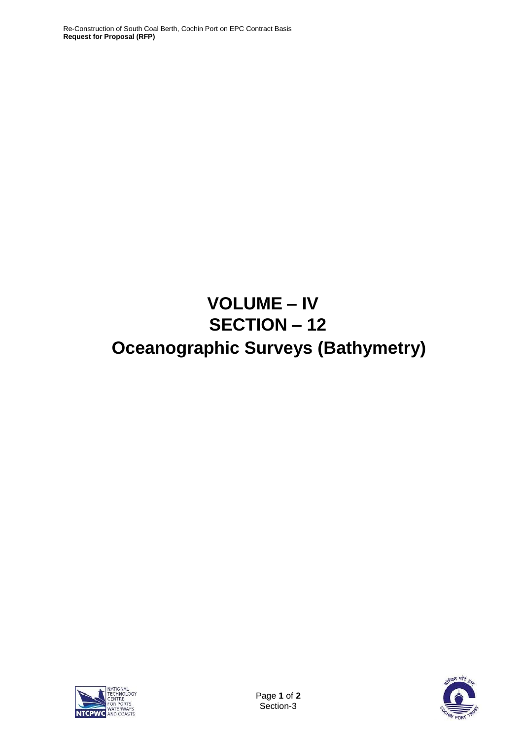# **VOLUME – IV SECTION – 12 Oceanographic Surveys (Bathymetry)**